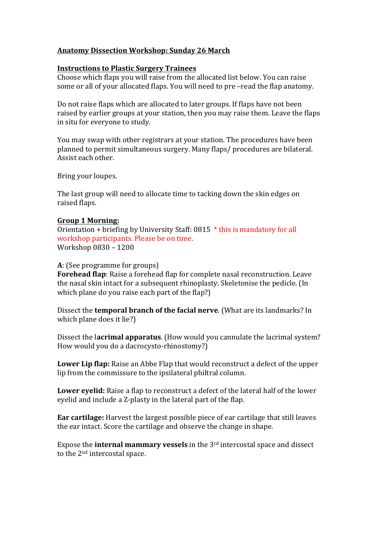## **Anatomy Dissection Workshop: Sunday 26 March**

### **Instructions to Plastic Surgery Trainees**

Choose which flaps you will raise from the allocated list below. You can raise some or all of your allocated flaps. You will need to pre-read the flap anatomy.

Do not raise flaps which are allocated to later groups. If flaps have not been raised by earlier groups at your station, then you may raise them. Leave the flaps in situ for everyone to study.

You may swap with other registrars at your station. The procedures have been planned to permit simultaneous surgery. Many flaps/ procedures are bilateral. Assist each other.

Bring your loupes.

The last group will need to allocate time to tacking down the skin edges on raised flaps.

### **Group 1 Morning:**

Orientation + briefing by University Staff:  $0815 *$  this is mandatory for all workshop participants. Please be on time. Workshop 0830 - 1200

### **A**: (See programme for groups)

**Forehead flap**: Raise a forehead flap for complete nasal reconstruction. Leave the nasal skin intact for a subsequent rhinoplasty. Skeletonise the pedicle. (In which plane do you raise each part of the flap?)

Dissect the **temporal branch of the facial nerve**. (What are its landmarks? In which plane does it lie?)

Dissect the lacrimal apparatus. (How would you cannulate the lacrimal system? How would you do a dacrocysto-rhinostomy?)

**Lower Lip flap:** Raise an Abbe Flap that would reconstruct a defect of the upper lip from the commissure to the ipsilateral philtral column.

**Lower eyelid:** Raise a flap to reconstruct a defect of the lateral half of the lower eyelid and include a Z-plasty in the lateral part of the flap.

**Ear cartilage:** Harvest the largest possible piece of ear cartilage that still leaves the ear intact. Score the cartilage and observe the change in shape.

Expose the **internal mammary vessels** in the 3<sup>rd</sup> intercostal space and dissect to the  $2<sup>nd</sup>$  intercostal space.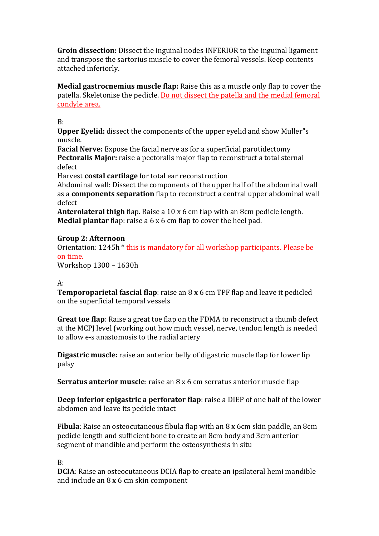**Groin dissection:** Dissect the inguinal nodes INFERIOR to the inguinal ligament and transpose the sartorius muscle to cover the femoral vessels. Keep contents attached inferiorly.

**Medial gastrocnemius muscle flap:** Raise this as a muscle only flap to cover the patella. Skeletonise the pedicle. Do not dissect the patella and the medial femoral condyle area.

B:

**Upper Eyelid:** dissect the components of the upper eyelid and show Muller''s muscle.

**Facial Nerve:** Expose the facial nerve as for a superficial parotidectomy **Pectoralis Major:** raise a pectoralis major flap to reconstruct a total sternal defect

Harvest **costal cartilage** for total ear reconstruction

Abdominal wall: Dissect the components of the upper half of the abdominal wall as a **components separation** flap to reconstruct a central upper abdominal wall defect

**Anterolateral thigh** flap. Raise a 10 x 6 cm flap with an 8cm pedicle length. **Medial plantar** flap: raise a 6 x 6 cm flap to cover the heel pad.

# **Group 2: Afternoon**

Orientation:  $1245h *$  this is mandatory for all workshop participants. Please be on time.

Workshop 1300 - 1630h

# $A$ :

**Temporoparietal fascial flap**: raise an 8 x 6 cm TPF flap and leave it pedicled on the superficial temporal vessels

**Great toe flap**: Raise a great toe flap on the FDMA to reconstruct a thumb defect at the MCPJ level (working out how much vessel, nerve, tendon length is needed to allow e-s anastomosis to the radial artery

**Digastric muscle:** raise an anterior belly of digastric muscle flap for lower lip palsy

**Serratus anterior muscle**: raise an 8 x 6 cm serratus anterior muscle flap

**Deep inferior epigastric a perforator flap**: raise a DIEP of one half of the lower abdomen and leave its pedicle intact

**Fibula**: Raise an osteocutaneous fibula flap with an 8 x 6cm skin paddle, an 8cm pedicle length and sufficient bone to create an 8cm body and 3cm anterior segment of mandible and perform the osteosynthesis in situ

B:

**DCIA**: Raise an osteocutaneous DCIA flap to create an ipsilateral hemi mandible and include an  $8 \times 6$  cm skin component